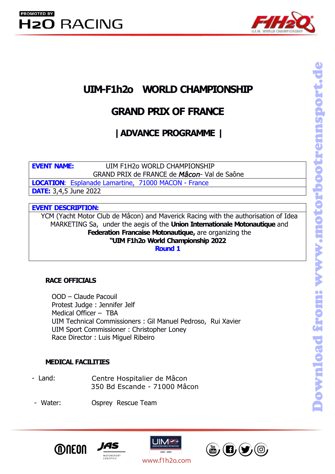

# UIM-F1h2o WORLD CHAMPIONSHIP

**UIM-F1h2o WORLD CHAMPIONSHIP<br>
GRAND PRIX OF FRANCE**<br>
| ADVANCE PROGRAMME |<br>
EVENT NAME: UIM F1H2o WORLD CHAMPIONSHIP<br>
GRAND PRIX de FRANCE de *Mâcon* - Val de Saône<br> **LOCATION:** Esplanade Lamartine, 71000 MACON - France M-F1h2o WORLD CHAMPIONSHIP<br>
GRAND PRIX OF FRANCE<br>
| ADVANCE PROGRAMME |<br>
UIM F1H2o WORLD CHAMPIONSHIP<br>
GRAND PRIX de FRANCE de *Mâcon*- Val de Saône<br>
<u>de Lamartine, 71000 MACON - France</u> **LOCATION CHAMPIONSHIP<br>
GRAND PRIX OF FRANCE<br>
| ADVANCE PROGRAMME |<br>
EVENT NAME: UIM F1H20 WORLD CHAMPIONSHIP<br>
GRAND PRIX de FRANCE de** *Mâcon* **- Val de Saône<br>
DATE: 3,4,5 June 2022<br>
EVENT DESCRIPTION: UIM-F1h2o WORLD CHAMPIC<br>
GRAND PRIX OF FRANCE<br>
| ADVANCE PROGRAMME |<br>
EVENT NAME:<br>
GRAND PRIX de FRANCE de Mâcon-Val de<br>
LOCATION: Esplanade Lamartine, 71000 MACON - France<br>
DATE: 3,4,5 June 2022<br>
EVENT DESCRIPTION:<br>
VCM GRAND PRIX OF |**<br> **ADVANCE PROGR**<br> **EVENT NAME:**<br>
GRAND PRIX de FRANCE de Mâ<br> **LOCATION:** Esplanade Lamartine, 71000 MACON -<br> **DATE:** 3,4,5 June 2022<br> **EVENT DESCRIPTION:**<br>
YCM (Yacht Motor Club de Mâcon) and Maverick F<br>

YCM (Yacht Motor Club de Mâcon) and Maverick Racing with the authorisation of Idea MARKETING Sa, under the aegis of the **Union Internationale Motonautique** and **Federation Francaise Motonautique,** are organizing the **"UIM F1h2o World Championship 2022 Round 1** GRAND PRIX de FRANCE de Mâcon<br> **RATION:** Esplanade Lamartine, 71000 MACON - Fra<br> **RE:** 3,4,5 June 2022<br> **RIT DESCRIPTION:**<br>
CM (Yacht Motor Club de Mâcon) and Maverick Raci<br>
MARKETING Sa, under the aegis of the **Union Int<br>** 3,4,5 June 2022<br> **DESCRIPTION:**<br>
1 (Yacht Motor Club de Mâcon) and Maverick Racing with the<br>
MARKETING Sa, under the aegis of the **Union Internationals<br>
Federation Francaise Motonautique, are organizi<br>
"UIM F1h2o World Cha DESCRIPTION:**<br>
1 (Yacht Motor Club de Mâcon) and Maverick Racing with the authoris<br>
MARKETING Sa, under the aegis of the **Union Internationale Motonau**<br> **Federation Francaise Motonautique,** are organizing the<br>
"**UIM F1h2o** 

**Example 10 Mark Constant Constant Of the Medical Officer Constant Constant Constant Constant Constant Constant Constant Constant Constant Constant Constant Constant Constant Constant Constant Constant Constant Constant Co** MarketTING Sa, under the aegis of the **Union Internationale Motonautique** and<br> **MARKETING Sa, under the aegis of the Union Internationale Motonautique and**<br> **Federation Francaise Motonautique,** are organizing the<br> **Round 1** MARKETING Sa, under the aegis of the **Union Internationale Motonautique** and<br>
Federation Francaise Motonautique, are organizing the<br>
"UIM F1h2o World Championship 2022<br>
Round 1<br>
NCE OFFICIALS<br>
OOD – Claude Pacouil<br>
Protest Federation Francaise Motonautique, are organizing the<br>
"UIM F1h2o World Championship 2022<br>
Round 1<br>
NCE OFFICIALS<br>
OOD – Claude Pacouil<br>
Protest Judge : Jennifer Jelf<br>
Medical Officer – TBA<br>
UIM Technical Commissioners : G **RACE OFFICIALS**<br>
OOD – Claude Pacouil<br>
Protest Judge : Jennifer Jelf<br>
Medical Officer – TBA<br>
UIM Technical Commissioners : Gil Manuel Pedroso,<br>
UIM Sport Commissioner : Christopher Loney<br>
Race Director : Luis Miguel Ribei **RACE OFFICIALS**<br>
OOD – Claude Pacouil<br>
Protest Judge : Jennifer Jelf<br>
Medical Officer – TBA<br>
UIM Technical Commissioners : Gil Manuel Pedroso, Rui Xavier<br>
UIM Sport Commissioner : Christopher Loney<br>
Race Director : Luis M e Pacouil<br>
9 : Jennifer Jelf<br>
er – TBA<br>
Il Commissioners : Gil Manuel Pedroso, Rui Xavier<br>
mmissioner : Christopher Loney<br>
7 : Luis Miguel Ribeiro<br> **TTIES<br>
Centre Hospitalier de Mâcon<br>
350 Bd Escande - 71000 Mâcon<br>
Osprey** OOD – Claude Pacouil<br>
Protest Judge : Jennifer Jelf<br>
Medical Officer – TBA<br>
UIM Technical Commissioner : Gil Manuel Pedroso, Rui Xavier<br>
UIM Sport Commissioner : Christopher Loney<br>
Race Director : Luis Miguel Ribeiro<br> **MED** 

- 
- 





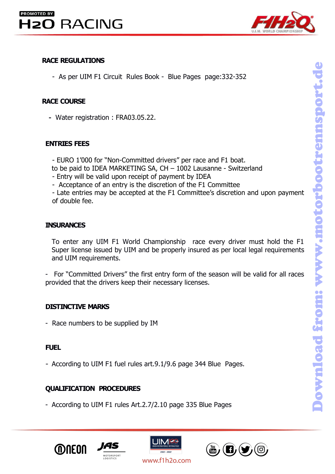

EXACE REGULATIONS<br>
- As per UIM F1 Circuit Rules Book - Blue Pages products<br>
- Water registration : FRA03.05.22.<br>
ENTRIES FEES<br>
- EURO 1'000 for "Non-Committed drivers" per race and to the paid to IDEA MARKETING SA, CH = 1

- 
- 
- 
- As per UIM F1 Circuit Rules Book Blue Pages page:332-352<br>
CE COURSE<br>
Water registration : FRA03.05.22.<br>
TRIES FEES<br>
 EURO 1'000 for "Non-Committed drivers" per race and F1 boat.<br>
to be paid to IDEA MARKETING SA, CH - As per UIM F1 Circuit Rules Book - Blue Pages page:332-352<br> **CE COURSE**<br>
Water registration : FRA03.05.22.<br> **TRIES FEES**<br>
- EURO 1'000 for "Non-Committed drivers" per race and F1 boat.<br>
to be paid to IDEA MARKETING SA, C CHE COURSE<br>
Water registration : FRA03.05.22.<br>
- EURO 1'000 for "Non-Committed drivers" per race and F1 boat.<br>
to be paid to IDEA MARKETING SA, CH – 1002 Lausanne - Switzerland<br>
- Entry will be valid upon receipt of paymen CE COURSE<br>
Water registration : FRA03.05.22.<br>
TRIES FEES<br>
- EURO 1'000 for "Non-Committed drivers" per race and<br>
to be paid to IDEA MARKETING SA, CH – 1002 Lausann<br>
- Entry will be valid upon receipt of payment by IDEA<br>
-

# **INSURANCES**

TRIES FEES<br>
- EURO 1'000 for "Non-Committed drivers" per race and F1 boat.<br>
to be paid to IDEA MARKETING SA, CH – 1002 Lausanne - Switzerland<br>
- Entry will be valid upon receipt of payment by IDEA<br>
- Acceptance of an entry **SURANCES**<br>
Super license is the first end of the season will be valid to IDEA MARKETING SA, CH – 1002 Lausanne - Switzerland<br>
- Entry will be valid upon receipt of payment by IDEA<br>
- Acceptance of an entry is the discreti - EURO 1'000 for "Non-Committed drivers" per race and<br>
to be paid to IDEA MARKETING SA, CH – 1002 Lausan<br>
- Entry will be valid upon receipt of payment by IDEA<br>
- Acceptance of an entry is the discretion of the F1 Cc<br>
- La to be paid to IDEA MARKETING SA, CH – 1002 Lausanne - Switzerland<br>
- Entry will be valid upon receipt of payment by IDEA<br>
- Acceptance of an entry is the discretion of the F1 Committee<br>
- Late entries may be accepted at th - Entry will be valid upon receipt of payment by IDEA<br>
- Acceptance of an entry is the discretion of the F1 Committee<br>
- Late entries may be accepted at the F1 Committee's discretion and upon payment<br>
of double fee.<br> **INSU** of double fee.<br> **INSURANCES**<br>
To enter any UIM F1 World Championship race every<br>
Super license issued by UIM and be properly insured as p<br>
and UIM requirements.<br>
- For "Committed Drivers" the first entry form of the sease<br> **INSURANCES**<br>
To enter any UIM F1 World Championship race every driver must hold t<br>
Super license issued by UIM and be properly insured as per local legal require<br>
and UIM requirements.<br>
- For "Committed Drivers" the first

and UIM requirements.<br>
- For "Committed Drivers" the first entry form of the season will be valid for all races<br>
provided that the drivers keep their necessary licenses.<br>
DISTINCTIVE MARKS<br>
- Race numbers to be supplied by

# **FUEL**

provided that the drivers keep their necessary licenses.<br> **DISTINCTIVE MARKS**<br>
- Race numbers to be supplied by IM<br> **FUEL**<br>
- According to UIM F1 fuel rules art.9.1/9.6 page 344 Blue Pag<br>
QUALIFICATION PROCEDURES<br>
- Accord







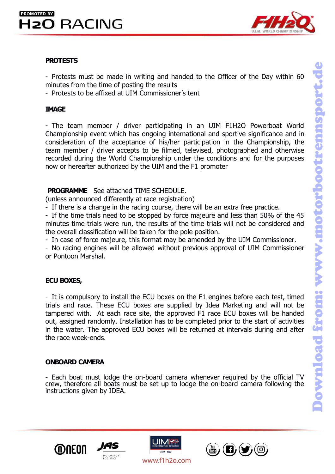

# **PROTESTS**

**EXECING**<br>**PROTESTS**<br>- Protests must be made in writing and handed to the Officer of the Day within 60<br>- Protests to be affixed at UIM Commissioner's tent **EXECTIVE**<br>**EXECTIVE**<br>**PROTESTS**<br>- Protests must be made in writing and handed to the Officer of the Day within<br>- Protests to be affixed at UIM Commissioner's tent<br>**TMAGE EXECUTE:**<br>
PROTESTS<br>
- Protests must be made in writing and handed to the Officer of the Day within 60<br>
minutes from the time of posting the results<br>
- Protests to be affixed at UIM Commissioner's tent<br> **IMAGE** 

# **IMAGE**

**EXECTING**<br>- Protests must be made in writing and handed to the Officer of the Day within 60<br>minutes from the time of posting the results<br>- Protests to be affixed at UIM Commissioner's tent<br>**IMAGE**<br>- The team member / driv **PROTESTS**<br>
PROTESTS<br>
Protests must be made in writing and handed to the Officer of the Day within 60<br>
minutes from the time of posting the results<br>
Protests to be affixed at UIM Commissioner's tent<br> **IMAGE**<br>
The team memb **PROTESTS**<br>
Protests must be made in writing and handed to the Officer of the Day within 60<br>
minutes from the time of posting the results<br>
Protests to be affixed at UIM Commissioner's tent<br> **IMAGE**<br>
- The team member / dri **PROTESTS**<br>
- Protests must be made in writing and handed to the Officer of the Day within 60<br>
minutes from the time of posting the results<br>
- Protests to be affixed at UIM Commissioner's tent<br> **IMAGE**<br>
- The team member / **PROTESTS**<br>
- Protests must be made in writing and handed to the Officer of the Day within 60<br>
minutes from the time of posting the results<br>
- Protests to be affixed at UIM Commissioner's tent<br> **IMAGE**<br>
- The team member / **PROTESTS**<br>
- Protests must be made in writing and handed to the Officer of the Day within 60<br>
minutes from the time of posting the results<br>
- Protests to be affixed at UIM Commissioner's tent<br> **IMAGE**<br>
- The team member / minutes from the time of posting the results<br>
Protests to be affixed at UIM Commissioner's tent<br> **PROGREM**<br>
The team member / driver participating in an UIM F1H2O Powerboat<br>
Championship event which has ongoing internation - Protests to be affixed at UIM Commissioner's tent<br>
IMAGE<br>
- The team member / driver participating in an UIM F1H2O Powerboat We<br>
Championship event which has ongoing international and sportive significance ane<br>
considera **IMAGE**<br>
- The team member / driver participating in an UIM F1H2O Powerboat World<br>
Championship event which has ongoing international and sportive significance and in<br>
consideration of the acceptance of his/her participati **IMAGE**<br>
The team member / driver participating in an UIM F1H2O Powerboat World<br>
Championship event which has ongoing international and sportive significance and in<br>
consideration of the acceptance of his/her participation The team member / driver participating in an UIM F1H2O Powerboat World<br>Championship event which has ongoing international and sportive significance and in<br>consideration of the acceptance of his/her participation in the Cha The team member / driver participating in an UIM F1H2O Powerboat World<br>Championship event which has ongoing international and sportive significance and in<br>team member / driver accepts to be filmed, televised, photographed Championship event which has ongoing international and sportive significance and in consideration of the acceptance of his/her participation in the Championship, the team member / driver accepts to be filmed, televised, ph consideration of the acceptance of his/her participation in the Championship, the<br>team member / driver accepts to be filmed, televised, photographed and otherwise<br>recorded during the World Championship under the conditions

team member / driver accepts to be filmed, televised,<br>recorded during the World Championship under the cor<br>now or hereafter authorized by the UIM and the F1 prom<br>**PROGRAMME** See attached TIME SCHEDULE.<br>(unless announced di **EXECUTE:**<br> **EXECUTE:**<br> **EXECUTE:**<br> **EXECUTE:**<br> **EXECUTE:**<br> **EXECUTE:**<br> **EXECUTE:**<br> **EXECUTE:**<br> **EXECUTE:**<br> **EXECUTE:**<br> **EXECUTE:**<br> **EXECUTE:**<br> **EXECUTE:**<br> **EXECUTE:**<br> **EXECUTE:**<br> **EXECUTE:**<br> **EXECUTE:**<br> **EXECUTE:**<br> **EXECU** 

**PROGRAMME** See attached TIME SCHEDULE.<br>
(unless announced differently at race registration)<br>
- If the time is a change in the racing course, there will be an extra free practice.<br>
- If the time trials need to be stopped b (unless announced differently at race registration)<br>
If there is a change in the racing course, there will be an extra free practice.<br>
If the time trials need to be stopped by force majeure and less than 50% of the 45<br>
If For the trials and chose to be stopped by force majeure and less than 50% of the 45<br>the twee trials need to be stopped by force majeure and less than 50% of the 45<br>minutes time trials were run, the results of the time tria The time trials need to be stopped by force majeure and less than 50% of the 45 minutes time trials were run, the results of the time trials will not be considered and the overall classification will be taken for the pole minutes time trials were run, the results of the time trials will not be considered and<br>
the overall classification will be taken for the pole position.<br>
- In case of force majeure, this format may be amended by the UIM Co the overall classification will be taken for the pole posi-<br>
In case of force majeure, this format may be amenc<br>
- No racing engines will be allowed without previous<br>
or Pontoon Marshal.<br> **ECU BOXES,**<br>
- It is compulsory t or Pontoon Marshal.<br> **ECU BOXES,**<br>
I It is compulsory to install the ECU boxes on the F1 er<br>
trials and race. These ECU boxes are supplied by Id<br>
tampered with. At each race site, the approved F1 ra<br>
out, assigned randomly ECU BOXES,<br>
- It is compulsory to install the ECU boxes on the F1 engines before each test, timed<br>
trials and race. These ECU boxes are supplied by Idea Marketing and will not be<br>
tampered with. At each race site, the appr **ECU BOXES,**<br>
It is compulsory to install the ECU boxes on the F1 engines before each test, timed<br>
trials and race. These ECU boxes are supplied by Idea Marketing and will not be<br>
tampered with. At each race site, the appr **EXECT DOALLS**<br>
IT is compulsory to install the ECU boxes on the F1 engines bef<br>
trials and race. These ECU boxes are supplied by Idea Marketi<br>
tampered with. At each race site, the approved F1 race ECU bout, assigned rand









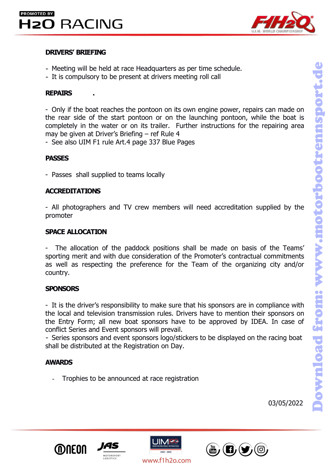# **DRIVERS' BRIEFING**<br> **DRIVERS' BRIEFING**<br> **DRIVERS' BRIEFING**<br> **DRIVERS' BRIEFING**<br> **COMPLISORY to be present at drivers meeting roll**



- 
- 

**RACING**<br> **REPAIRS**<br> **REPAIRS**<br> **REPAIRS**<br> **REPAIRS**<br> **REPAIRS**<br> **REPAIRS**<br> **REPAIRS**<br> **REPAIRS**<br> **REPAIRS**<br> **REPAIRS**<br> **REPAIRS**<br> **REPAIRS**<br> **REPAIRS**<br> **REPAIRS**<br> **REPAIRS**<br> **REPAIRS EXECTING**<br>
- Meeting will be held at race Headquarters as per time schedule.<br>
- It is compulsory to be present at drivers meeting roll call<br>
REPAIRS<br>
- Only if the boat reaches the pontoon on its own engine power, repairs THE REART ON THE REART STATED TO THE REART ON THE REART ON THE REART ON THE REART ON THE REART START ON THE REART START ON THE REART START ON THE REART START PONTOON OF THE SCOND OF THE START PONTOON OF THE START PONTOON O **COMPRET STATE FING**<br> **COMPRETE:**<br>
The Meeting will be held at race Headquarters as per time schedule.<br>
The is compulsory to be present at drivers meeting roll call<br> **REPAIRS**<br>
The boat reaches the pontoon on its own engin **DRIVERS' BRIEFING**<br> **DRIVERS' BRIEFING**<br>
- Meeting will be held at race Headquarters as per time schedule.<br>
- It is compulsory to be present at drivers meeting roll call<br> **REPAIRS**<br>
- Only if the boat reaches the pontoon **DRIVERS' BRIEFING**<br>
- Meeting will be held at race Headquarters as per time schedule.<br>
- It is compulsory to be present at drivers meeting roll call<br> **REPAIRS**<br>
- Only if the boat reaches the pontoon on its own engine pow - Meeting will be held at race Headquarters as per time schedule.<br>- It is compulsory to be present at drivers meeting roll call<br>**REPAIRS**<br>- Only if the boat reaches the pontoon on its own engine power, repairs can n<br>the re - Only if the boat reaches the pontoon on its own engine power, repairs can made on<br>the rear side of the start pontoon or on the launching pontoon, while the boat is<br>completely in the water or on its trailer. Further instr

# **PASSES**

# **ACCREDITATIONS**

promoter completely in the water or on its trailer. Further in<br>
may be given at Driver's Briefing – ref Rule 4<br>
- See also UIM F1 rule Art.4 page 337 Blue Pages<br> **PASSES**<br>
- Passes shall supplied to teams locally<br> **ACCREDITATIONS**<br>

- See also UIM F1 rule Art.4 page 337 Blue Pages<br>
PASSES<br>
- Passes shall supplied to teams locally<br>
- All photographers and TV crew members will need accreditation supplied by the<br>
promoter<br>
SPACE ALLOCATION<br>
- The allocat **PASSES**<br> **ACCREDITATIONS**<br> **ACCREDITATIONS**<br> **ACCREDITATIONS**<br> **SPACE ALLOCATION**<br>
The allocation of the paddock positions shall be made on basis of the Teams'<br>
sporting merit and with due consideration of the Promoter's **PASSES**<br>- Passes shall supplied to teams locally<br>**ACCREDITATIONS**<br>- All photographers and TV crew members will need accreditation supplied by the<br>promoter<br>SPACE ALLOCATION<br>- The allocation of the paddock positions shall b country. - All photographers and TV crew members will need accreditation supplied by the<br> **SPACE ALLOCATION**<br>
- The allocation of the paddock positions shall be made on basis of the Teams'<br>
sporting merit and with due consideration

# **SPONSORS**

FRI photographers and TV crew members will need accreditation supplied by the<br> **SPACE ALLOCATION**<br>
The allocation of the paddock positions shall be made on basis of the Teams<br>
sporting merit and with due consideration of t **SPACE ALLOCATION**<br>
The allocation of the paddock positions shall be made on basis of the Teams'<br>
sporting merit and with due consideration of the Promoter's contractual commitments<br>
as well as respecting the preference fo **SPACE ALLOCATION**<br>
The allocation of the paddock positions shall be made on basis of the Teams'<br>
sporting merit and with due consideration of the Promoter's contractual commitments<br>
as well as respecting the preference fo - The allocation of the paddock positions shall be made on basis of the Teams'<br>sporting merit and with due consideration of the Promoter's contractual commitments<br>as well as respecting the preference for the Team of the or UNITY.<br>
UNITY CONSORS<br>
It is the driver's responsibility to make sure that his sponsors are in compliance wit<br>
Le local and television transmission rules. Drivers have to mention their sponsors of<br>
Entry Form; all new boat

# **AWARDS**